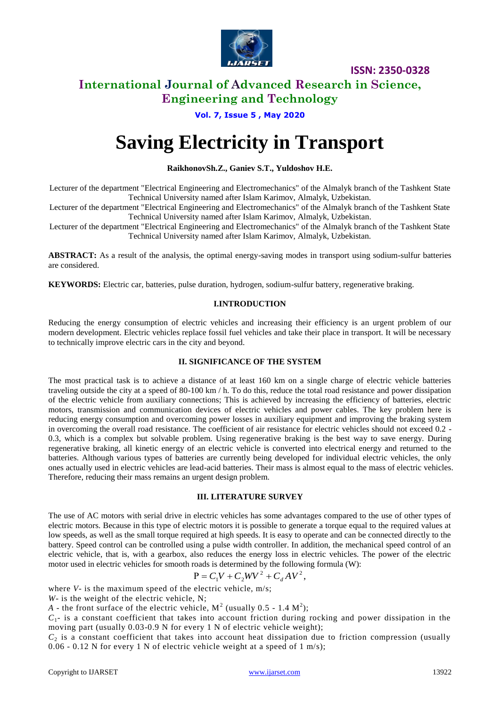

**ISSN: 2350-0328**

### **International Journal of Advanced Research in Science, Engineering and Technology**

### **Vol. 7, Issue 5 , May 2020**

# **Saving Electricity in Transport**

### **RaikhonovSh.Z., Ganiev S.T., Yuldoshov H.E.**

Lecturer of the department "Electrical Engineering and Electromechanics" of the Almalyk branch of the Tashkent State Technical University named after Islam Karimov, Almalyk, Uzbekistan.

Lecturer of the department "Electrical Engineering and Electromechanics" of the Almalyk branch of the Tashkent State Technical University named after Islam Karimov, Almalyk, Uzbekistan.

Lecturer of the department "Electrical Engineering and Electromechanics" of the Almalyk branch of the Tashkent State Technical University named after Islam Karimov, Almalyk, Uzbekistan.

**ABSTRACT:** As a result of the analysis, the optimal energy-saving modes in transport using sodium-sulfur batteries are considered.

**KEYWORDS:** Electric car, batteries, pulse duration, hydrogen, sodium-sulfur battery, regenerative braking.

### **I.INTRODUCTION**

Reducing the energy consumption of electric vehicles and increasing their efficiency is an urgent problem of our modern development. Electric vehicles replace fossil fuel vehicles and take their place in transport. It will be necessary to technically improve electric cars in the city and beyond.

### **II. SIGNIFICANCE OF THE SYSTEM**

The most practical task is to achieve a distance of at least 160 km on a single charge of electric vehicle batteries traveling outside the city at a speed of 80-100 km / h. To do this, reduce the total road resistance and power dissipation of the electric vehicle from auxiliary connections; This is achieved by increasing the efficiency of batteries, electric motors, transmission and communication devices of electric vehicles and power cables. The key problem here is reducing energy consumption and overcoming power losses in auxiliary equipment and improving the braking system in overcoming the overall road resistance. The coefficient of air resistance for electric vehicles should not exceed 0.2 - 0.3, which is a complex but solvable problem. Using regenerative braking is the best way to save energy. During regenerative braking, all kinetic energy of an electric vehicle is converted into electrical energy and returned to the batteries. Although various types of batteries are currently being developed for individual electric vehicles, the only ones actually used in electric vehicles are lead-acid batteries. Their mass is almost equal to the mass of electric vehicles. Therefore, reducing their mass remains an urgent design problem.

### **III. LITERATURE SURVEY**

The use of AC motors with serial drive in electric vehicles has some advantages compared to the use of other types of electric motors. Because in this type of electric motors it is possible to generate a torque equal to the required values at low speeds, as well as the small torque required at high speeds. It is easy to operate and can be connected directly to the battery. Speed control can be controlled using a pulse width controller. In addition, the mechanical speed control of an electric vehicle, that is, with a gearbox, also reduces the energy loss in electric vehicles. The power of the electric motor used in electric vehicles for smooth roads is determined by the following formula (W):

$$
P = C_1 V + C_2 W V^2 + C_d A V^2,
$$

where *V*- is the maximum speed of the electric vehicle, m/s;

*W*- is the weight of the electric vehicle, N;

*A* - the front surface of the electric vehicle,  $M^2$  (usually 0.5 - 1.4  $M^2$ );

 $C_1$ - is a constant coefficient that takes into account friction during rocking and power dissipation in the moving part (usually 0.03-0.9 N for every 1 N of electric vehicle weight);

 $C_2$  is a constant coefficient that takes into account heat dissipation due to friction compression (usually 0.06 - 0.12 N for every 1 N of electric vehicle weight at a speed of 1 m/s);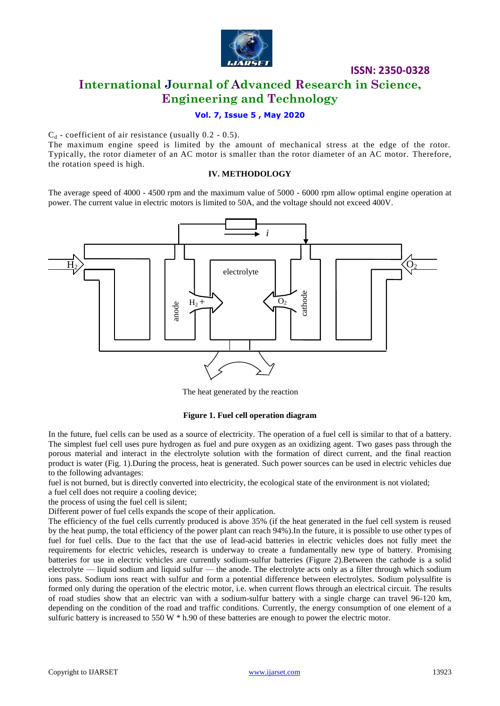

**ISSN: 2350-0328**

### **International Journal of Advanced Research in Science, Engineering and Technology**

### **Vol. 7, Issue 5 , May 2020**

 $C_d$  - coefficient of air resistance (usually 0.2 - 0.5).

The maximum engine speed is limited by the amount of mechanical stress at the edge of the rotor. Typically, the rotor diameter of an AC motor is smaller than the rotor diameter of an AC motor. Therefore, the rotation speed is high.

### **IV. METHODOLOGY**

The average speed of 4000 - 4500 rpm and the maximum value of 5000 - 6000 rpm allow optimal engine operation at power. The current value in electric motors is limited to 50A, and the voltage should not exceed 400V.



The heat generated by the reaction

### **Figure 1. Fuel cell operation diagram**

In the future, fuel cells can be used as a source of electricity. The operation of a fuel cell is similar to that of a battery. The simplest fuel cell uses pure hydrogen as fuel and pure oxygen as an oxidizing agent. Two gases pass through the porous material and interact in the electrolyte solution with the formation of direct current, and the final reaction product is water (Fig. 1).During the process, heat is generated. Such power sources can be used in electric vehicles due to the following advantages:

fuel is not burned, but is directly converted into electricity, the ecological state of the environment is not violated;

a fuel cell does not require a cooling device;

the process of using the fuel cell is silent;

Different power of fuel cells expands the scope of their application.

The efficiency of the fuel cells currently produced is above 35% (if the heat generated in the fuel cell system is reused by the heat pump, the total efficiency of the power plant can reach 94%).In the future, it is possible to use other types of fuel for fuel cells. Due to the fact that the use of lead-acid batteries in electric vehicles does not fully meet the requirements for electric vehicles, research is underway to create a fundamentally new type of battery. Promising batteries for use in electric vehicles are currently sodium-sulfur batteries (Figure 2).Between the cathode is a solid electrolyte — liquid sodium and liquid sulfur — the anode. The electrolyte acts only as a filter through which sodium ions pass. Sodium ions react with sulfur and form a potential difference between electrolytes. Sodium polysulfite is formed only during the operation of the electric motor, i.e. when current flows through an electrical circuit. The results of road studies show that an electric van with a sodium-sulfur battery with a single charge can travel 96-120 km, depending on the condition of the road and traffic conditions. Currently, the energy consumption of one element of a sulfuric battery is increased to 550 W  $*$  h.90 of these batteries are enough to power the electric motor.